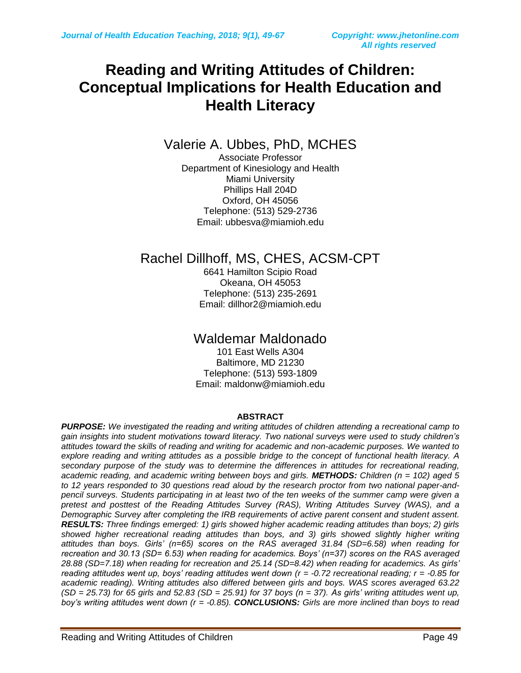### **Reading and Writing Attitudes of Children: Conceptual Implications for Health Education and Health Literacy**

Valerie A. Ubbes, PhD, MCHES

Associate Professor Department of Kinesiology and Health Miami University Phillips Hall 204D Oxford, OH 45056 Telephone: (513) 529-2736 Email: ubbesva@miamioh.edu

### Rachel Dillhoff, MS, CHES, ACSM-CPT

6641 Hamilton Scipio Road Okeana, OH 45053 Telephone: (513) 235-2691 Email: [dillhor2@miamioh.edu](mailto:dillhor2@miamioh.edu)

### Waldemar Maldonado

101 East Wells A304 Baltimore, MD 21230 Telephone: (513) 593-1809 Email: maldonw@miamioh.edu

#### **ABSTRACT**

*PURPOSE: We investigated the reading and writing attitudes of children attending a recreational camp to gain insights into student motivations toward literacy. Two national surveys were used to study children's attitudes toward the skills of reading and writing for academic and non-academic purposes. We wanted to explore reading and writing attitudes as a possible bridge to the concept of functional health literacy. A secondary purpose of the study was to determine the differences in attitudes for recreational reading, academic reading, and academic writing between boys and girls. METHODS: Children (n = 102) aged 5 to 12 years responded to 30 questions read aloud by the research proctor from two national paper-andpencil surveys. Students participating in at least two of the ten weeks of the summer camp were given a pretest and posttest of the Reading Attitudes Survey (RAS), Writing Attitudes Survey (WAS), and a Demographic Survey after completing the IRB requirements of active parent consent and student assent. RESULTS: Three findings emerged: 1) girls showed higher academic reading attitudes than boys; 2) girls showed higher recreational reading attitudes than boys, and 3) girls showed slightly higher writing attitudes than boys. Girls' (n=65) scores on the RAS averaged 31.84 (SD=6.58) when reading for recreation and 30.13 (SD= 6.53) when reading for academics. Boys' (n=37) scores on the RAS averaged 28.88 (SD=7.18) when reading for recreation and 25.14 (SD=8.42) when reading for academics. As girls' reading attitudes went up, boys' reading attitudes went down (r = -0.72 recreational reading; r = -0.85 for academic reading). Writing attitudes also differed between girls and boys. WAS scores averaged 63.22 (SD = 25.73) for 65 girls and 52.83 (SD = 25.91) for 37 boys (n = 37). As girls' writing attitudes went up, boy's writing attitudes went down (r = -0.85). CONCLUSIONS: Girls are more inclined than boys to read*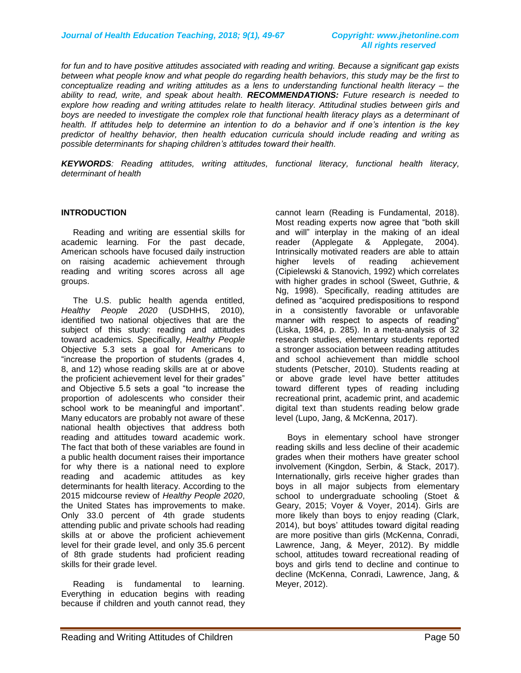*for fun and to have positive attitudes associated with reading and writing. Because a significant gap exists between what people know and what people do regarding health behaviors, this study may be the first to conceptualize reading and writing attitudes as a lens to understanding functional health literacy – the ability to read, write, and speak about health. RECOMMENDATIONS: Future research is needed to explore how reading and writing attitudes relate to health literacy. Attitudinal studies between girls and boys are needed to investigate the complex role that functional health literacy plays as a determinant of health. If attitudes help to determine an intention to do a behavior and if one's intention is the key predictor of healthy behavior, then health education curricula should include reading and writing as possible determinants for shaping children's attitudes toward their health.*

*KEYWORDS: Reading attitudes, writing attitudes, functional literacy, functional health literacy, determinant of health*

#### **INTRODUCTION**

 Reading and writing are essential skills for academic learning. For the past decade, American schools have focused daily instruction on raising academic achievement through reading and writing scores across all age groups.

 The U.S. public health agenda entitled, *Healthy People 2020* (USDHHS, 2010)*,* identified two national objectives that are the subject of this study: reading and attitudes toward academics. Specifically, *Healthy People* Objective 5.3 sets a goal for Americans to "increase the proportion of students (grades 4, 8, and 12) whose reading skills are at or above the proficient achievement level for their grades" and Objective 5.5 sets a goal "to increase the proportion of adolescents who consider their school work to be meaningful and important". Many educators are probably not aware of these national health objectives that address both reading and attitudes toward academic work. The fact that both of these variables are found in a public health document raises their importance for why there is a national need to explore reading and academic attitudes as key determinants for health literacy. According to the 2015 midcourse review of *Healthy People 2020*, the United States has improvements to make. Only 33.0 percent of 4th grade students attending public and private schools had reading skills at or above the proficient achievement level for their grade level, and only 35.6 percent of 8th grade students had proficient reading skills for their grade level.

 Reading is fundamental to learning. Everything in education begins with reading because if children and youth cannot read, they cannot learn (Reading is Fundamental, 2018). Most reading experts now agree that "both skill and will" interplay in the making of an ideal reader (Applegate & Applegate, 2004). Intrinsically motivated readers are able to attain<br>higher levels of reading achievement higher levels of reading achievement (Cipielewski & Stanovich, 1992) which correlates with higher grades in school (Sweet, Guthrie, & Ng, 1998). Specifically, reading attitudes are defined as "acquired predispositions to respond in a consistently favorable or unfavorable manner with respect to aspects of reading" (Liska, 1984, p. 285). In a meta-analysis of 32 research studies, elementary students reported a stronger association between reading attitudes and school achievement than middle school students (Petscher, 2010). Students reading at or above grade level have better attitudes toward different types of reading including recreational print, academic print, and academic digital text than students reading below grade level (Lupo, Jang, & McKenna, 2017).

 Boys in elementary school have stronger reading skills and less decline of their academic grades when their mothers have greater school involvement (Kingdon, Serbin, & Stack, 2017). Internationally, girls receive higher grades than boys in all major subjects from elementary school to undergraduate schooling (Stoet & Geary, 2015; Voyer & Voyer, 2014). Girls are more likely than boys to enjoy reading (Clark, 2014), but boys' attitudes toward digital reading are more positive than girls (McKenna, Conradi, Lawrence, Jang, & Meyer, 2012). By middle school, attitudes toward recreational reading of boys and girls tend to decline and continue to decline (McKenna, Conradi, Lawrence, Jang, & Meyer, 2012).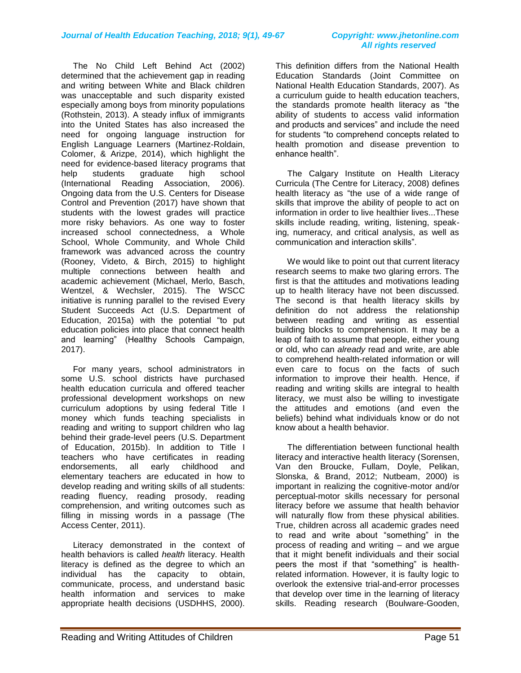The No Child Left Behind Act (2002) determined that the achievement gap in reading and writing between White and Black children was unacceptable and such disparity existed especially among boys from minority populations (Rothstein, 2013). A steady influx of immigrants into the United States has also increased the need for ongoing language instruction for English Language Learners (Martinez-Roldain, Colomer, & Arizpe, 2014), which highlight the need for evidence-based literacy programs that<br>help students graduate high school help students graduate high school (International Reading Association, 2006). Ongoing data from the U.S. Centers for Disease Control and Prevention (2017) have shown that students with the lowest grades will practice more risky behaviors. As one way to foster increased school connectedness, a Whole School, Whole Community, and Whole Child framework was advanced across the country (Rooney, Videto, & Birch, 2015) to highlight multiple connections between health and academic achievement (Michael, Merlo, Basch, Wentzel, & Wechsler, 2015). The WSCC initiative is running parallel to the revised Every Student Succeeds Act (U.S. Department of Education, 2015a) with the potential "to put education policies into place that connect health and learning" (Healthy Schools Campaign, 2017).

 For many years, school administrators in some U.S. school districts have purchased health education curricula and offered teacher professional development workshops on new curriculum adoptions by using federal Title I money which funds teaching specialists in reading and writing to support children who lag behind their grade-level peers (U.S. Department of Education, 2015b). In addition to Title I teachers who have certificates in reading endorsements, all early childhood and elementary teachers are educated in how to develop reading and writing skills of all students: reading fluency, reading prosody, reading comprehension, and writing outcomes such as filling in missing words in a passage (The Access Center, 2011).

 Literacy demonstrated in the context of health behaviors is called *health* literacy. Health literacy is defined as the degree to which an individual has the capacity to obtain, communicate, process, and understand basic health information and services to make appropriate health decisions (USDHHS, 2000).

This definition differs from the National Health Education Standards (Joint Committee on National Health Education Standards, 2007). As a curriculum guide to health education teachers, the standards promote health literacy as "the ability of students to access valid information and products and services" and include the need for students "to comprehend concepts related to health promotion and disease prevention to enhance health".

 The Calgary Institute on Health Literacy Curricula (The Centre for Literacy, 2008) defines health literacy as "the use of a wide range of skills that improve the ability of people to act on information in order to live healthier lives...These skills include reading, writing, listening, speaking, numeracy, and critical analysis, as well as communication and interaction skills".

 We would like to point out that current literacy research seems to make two glaring errors. The first is that the attitudes and motivations leading up to health literacy have not been discussed. The second is that health literacy skills by definition do not address the relationship between reading and writing as essential building blocks to comprehension. It may be a leap of faith to assume that people, either young or old, who can *already* read and write, are able to comprehend health-related information or will even care to focus on the facts of such information to improve their health. Hence, if reading and writing skills are integral to health literacy, we must also be willing to investigate the attitudes and emotions (and even the beliefs) behind what individuals know or do not know about a health behavior.

 The differentiation between functional health literacy and interactive health literacy (Sorensen, Van den Broucke, Fullam, Doyle, Pelikan, Slonska, & Brand, 2012; Nutbeam, 2000) is important in realizing the cognitive-motor and/or perceptual-motor skills necessary for personal literacy before we assume that health behavior will naturally flow from these physical abilities. True, children across all academic grades need to read and write about "something" in the process of reading and writing – and we argue that it might benefit individuals and their social peers the most if that "something" is healthrelated information. However, it is faulty logic to overlook the extensive trial-and-error processes that develop over time in the learning of literacy skills. Reading research (Boulware-Gooden,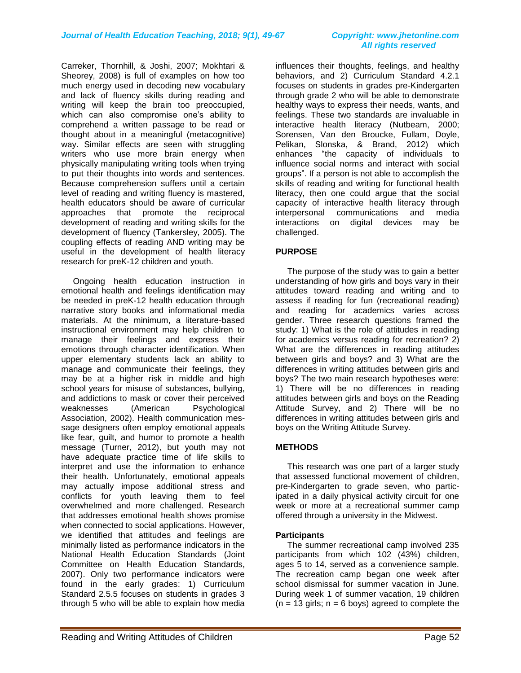Carreker, Thornhill, & Joshi, 2007; Mokhtari & Sheorey, 2008) is full of examples on how too much energy used in decoding new vocabulary and lack of fluency skills during reading and writing will keep the brain too preoccupied, which can also compromise one's ability to comprehend a written passage to be read or thought about in a meaningful (metacognitive) way. Similar effects are seen with struggling writers who use more brain energy when physically manipulating writing tools when trying to put their thoughts into words and sentences. Because comprehension suffers until a certain level of reading and writing fluency is mastered, health educators should be aware of curricular approaches that promote the reciprocal development of reading and writing skills for the development of fluency (Tankersley, 2005). The coupling effects of reading AND writing may be useful in the development of health literacy research for preK-12 children and youth.

 Ongoing health education instruction in emotional health and feelings identification may be needed in preK-12 health education through narrative story books and informational media materials. At the minimum, a literature-based instructional environment may help children to manage their feelings and express their emotions through character identification. When upper elementary students lack an ability to manage and communicate their feelings, they may be at a higher risk in middle and high school years for misuse of substances, bullying, and addictions to mask or cover their perceived weaknesses (American Psychological Association, 2002). Health communication message designers often employ emotional appeals like fear, guilt, and humor to promote a health message (Turner, 2012), but youth may not have adequate practice time of life skills to interpret and use the information to enhance their health. Unfortunately, emotional appeals may actually impose additional stress and conflicts for youth leaving them to feel overwhelmed and more challenged. Research that addresses emotional health shows promise when connected to social applications. However, we identified that attitudes and feelings are minimally listed as performance indicators in the National Health Education Standards (Joint Committee on Health Education Standards, 2007). Only two performance indicators were found in the early grades: 1) Curriculum Standard 2.5.5 focuses on students in grades 3 through 5 who will be able to explain how media

influences their thoughts, feelings, and healthy behaviors, and 2) Curriculum Standard 4.2.1 focuses on students in grades pre-Kindergarten through grade 2 who will be able to demonstrate healthy ways to express their needs, wants, and feelings. These two standards are invaluable in interactive health literacy (Nutbeam, 2000; Sorensen, Van den Broucke, Fullam, Doyle, Pelikan, Slonska, & Brand, 2012) which enhances "the capacity of individuals to influence social norms and interact with social groups". If a person is not able to accomplish the skills of reading and writing for functional health literacy, then one could argue that the social capacity of interactive health literacy through interpersonal communications and media interactions on digital devices may be challenged.

#### **PURPOSE**

 The purpose of the study was to gain a better understanding of how girls and boys vary in their attitudes toward reading and writing and to assess if reading for fun (recreational reading) and reading for academics varies across gender. Three research questions framed the study: 1) What is the role of attitudes in reading for academics versus reading for recreation? 2) What are the differences in reading attitudes between girls and boys? and 3) What are the differences in writing attitudes between girls and boys? The two main research hypotheses were: 1) There will be no differences in reading attitudes between girls and boys on the Reading Attitude Survey, and 2) There will be no differences in writing attitudes between girls and boys on the Writing Attitude Survey.

### **METHODS**

 This research was one part of a larger study that assessed functional movement of children, pre-Kindergarten to grade seven, who participated in a daily physical activity circuit for one week or more at a recreational summer camp offered through a university in the Midwest.

#### **Participants**

 The summer recreational camp involved 235 participants from which 102 (43%) children, ages 5 to 14, served as a convenience sample. The recreation camp began one week after school dismissal for summer vacation in June. During week 1 of summer vacation, 19 children  $(n = 13$  girls;  $n = 6$  boys) agreed to complete the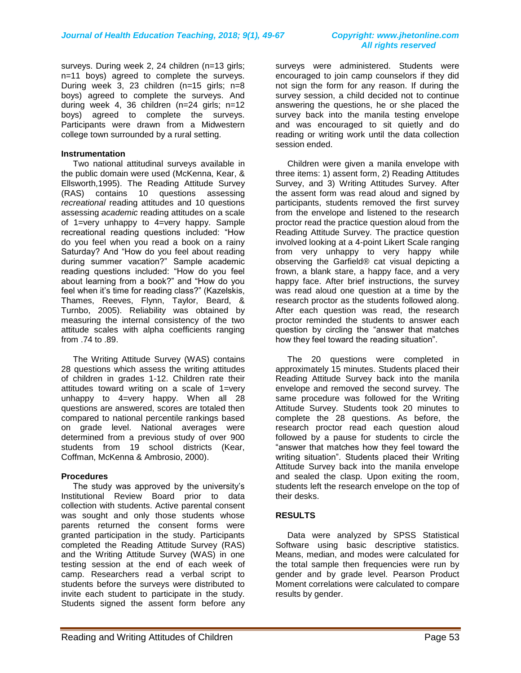surveys. During week 2, 24 children (n=13 girls; n=11 boys) agreed to complete the surveys. During week 3, 23 children (n=15 girls; n=8 boys) agreed to complete the surveys. And during week 4, 36 children (n=24 girls; n=12 boys) agreed to complete the surveys. Participants were drawn from a Midwestern college town surrounded by a rural setting.

#### **Instrumentation**

 Two national attitudinal surveys available in the public domain were used (McKenna, Kear, & Ellsworth,1995). The Reading Attitude Survey (RAS) contains 10 questions assessing *recreational* reading attitudes and 10 questions assessing *academic* reading attitudes on a scale of 1=very unhappy to 4=very happy. Sample recreational reading questions included: "How do you feel when you read a book on a rainy Saturday? And "How do you feel about reading during summer vacation?" Sample academic reading questions included: "How do you feel about learning from a book?" and "How do you feel when it's time for reading class?" (Kazelskis, Thames, Reeves, Flynn, Taylor, Beard, & Turnbo, 2005). Reliability was obtained by measuring the internal consistency of the two attitude scales with alpha coefficients ranging from .74 to .89.

 The Writing Attitude Survey (WAS) contains 28 questions which assess the writing attitudes of children in grades 1-12. Children rate their attitudes toward writing on a scale of 1=very unhappy to 4=very happy. When all 28 questions are answered, scores are totaled then compared to national percentile rankings based on grade level. National averages were determined from a previous study of over 900 students from 19 school districts (Kear, Coffman, McKenna & Ambrosio, 2000).

#### **Procedures**

 The study was approved by the university's Institutional Review Board prior to data collection with students. Active parental consent was sought and only those students whose parents returned the consent forms were granted participation in the study. Participants completed the Reading Attitude Survey (RAS) and the Writing Attitude Survey (WAS) in one testing session at the end of each week of camp. Researchers read a verbal script to students before the surveys were distributed to invite each student to participate in the study. Students signed the assent form before any

surveys were administered. Students were encouraged to join camp counselors if they did not sign the form for any reason. If during the survey session, a child decided not to continue answering the questions, he or she placed the survey back into the manila testing envelope and was encouraged to sit quietly and do reading or writing work until the data collection session ended.

 Children were given a manila envelope with three items: 1) assent form, 2) Reading Attitudes Survey, and 3) Writing Attitudes Survey. After the assent form was read aloud and signed by participants, students removed the first survey from the envelope and listened to the research proctor read the practice question aloud from the Reading Attitude Survey. The practice question involved looking at a 4-point Likert Scale ranging from very unhappy to very happy while observing the Garfield® cat visual depicting a frown, a blank stare, a happy face, and a very happy face. After brief instructions, the survey was read aloud one question at a time by the research proctor as the students followed along. After each question was read, the research proctor reminded the students to answer each question by circling the "answer that matches how they feel toward the reading situation".

 The 20 questions were completed in approximately 15 minutes. Students placed their Reading Attitude Survey back into the manila envelope and removed the second survey. The same procedure was followed for the Writing Attitude Survey. Students took 20 minutes to complete the 28 questions. As before, the research proctor read each question aloud followed by a pause for students to circle the "answer that matches how they feel toward the writing situation". Students placed their Writing Attitude Survey back into the manila envelope and sealed the clasp. Upon exiting the room, students left the research envelope on the top of their desks.

#### **RESULTS**

 Data were analyzed by SPSS Statistical Software using basic descriptive statistics. Means, median, and modes were calculated for the total sample then frequencies were run by gender and by grade level. Pearson Product Moment correlations were calculated to compare results by gender.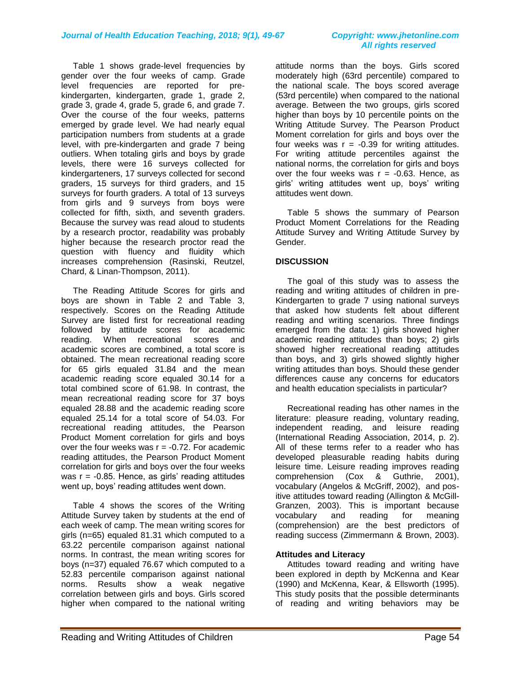Table 1 shows grade-level frequencies by gender over the four weeks of camp. Grade level frequencies are reported for prekindergarten, kindergarten, grade 1, grade 2, grade 3, grade 4, grade 5, grade 6, and grade 7. Over the course of the four weeks, patterns emerged by grade level. We had nearly equal participation numbers from students at a grade level, with pre-kindergarten and grade 7 being outliers. When totaling girls and boys by grade levels, there were 16 surveys collected for kindergarteners, 17 surveys collected for second graders, 15 surveys for third graders, and 15 surveys for fourth graders. A total of 13 surveys from girls and 9 surveys from boys were collected for fifth, sixth, and seventh graders. Because the survey was read aloud to students by a research proctor, readability was probably higher because the research proctor read the question with fluency and fluidity which increases comprehension (Rasinski, Reutzel, Chard, & Linan-Thompson, 2011).

 The Reading Attitude Scores for girls and boys are shown in Table 2 and Table 3, respectively. Scores on the Reading Attitude Survey are listed first for recreational reading followed by attitude scores for academic reading. When recreational scores and academic scores are combined, a total score is obtained. The mean recreational reading score for 65 girls equaled 31.84 and the mean academic reading score equaled 30.14 for a total combined score of 61.98. In contrast, the mean recreational reading score for 37 boys equaled 28.88 and the academic reading score equaled 25.14 for a total score of 54.03. For recreational reading attitudes, the Pearson Product Moment correlation for girls and boys over the four weeks was  $r = -0.72$ . For academic reading attitudes, the Pearson Product Moment correlation for girls and boys over the four weeks was  $r = -0.85$ . Hence, as girls' reading attitudes went up, boys' reading attitudes went down.

 Table 4 shows the scores of the Writing Attitude Survey taken by students at the end of each week of camp. The mean writing scores for girls (n=65) equaled 81.31 which computed to a 63.22 percentile comparison against national norms. In contrast, the mean writing scores for boys (n=37) equaled 76.67 which computed to a 52.83 percentile comparison against national norms. Results show a weak negative correlation between girls and boys. Girls scored higher when compared to the national writing

attitude norms than the boys. Girls scored moderately high (63rd percentile) compared to the national scale. The boys scored average (53rd percentile) when compared to the national average. Between the two groups, girls scored higher than boys by 10 percentile points on the Writing Attitude Survey. The Pearson Product Moment correlation for girls and boys over the four weeks was  $r = -0.39$  for writing attitudes. For writing attitude percentiles against the national norms, the correlation for girls and boys over the four weeks was  $r = -0.63$ . Hence, as girls' writing attitudes went up, boys' writing attitudes went down.

 Table 5 shows the summary of Pearson Product Moment Correlations for the Reading Attitude Survey and Writing Attitude Survey by Gender.

#### **DISCUSSION**

 The goal of this study was to assess the reading and writing attitudes of children in pre-Kindergarten to grade 7 using national surveys that asked how students felt about different reading and writing scenarios. Three findings emerged from the data: 1) girls showed higher academic reading attitudes than boys; 2) girls showed higher recreational reading attitudes than boys, and 3) girls showed slightly higher writing attitudes than boys. Should these gender differences cause any concerns for educators and health education specialists in particular?

 Recreational reading has other names in the literature: pleasure reading, voluntary reading, independent reading, and leisure reading (International Reading Association, 2014, p. 2). All of these terms refer to a reader who has developed pleasurable reading habits during leisure time. Leisure reading improves reading comprehension (Cox & Guthrie, 2001), vocabulary (Angelos & McGriff, 2002), and positive attitudes toward reading (Allington & McGill-Granzen, 2003). This is important because vocabulary and reading for meaning (comprehension) are the best predictors of reading success (Zimmermann & Brown, 2003).

#### **Attitudes and Literacy**

 Attitudes toward reading and writing have been explored in depth by McKenna and Kear (1990) and McKenna, Kear, & Ellsworth (1995). This study posits that the possible determinants of reading and writing behaviors may be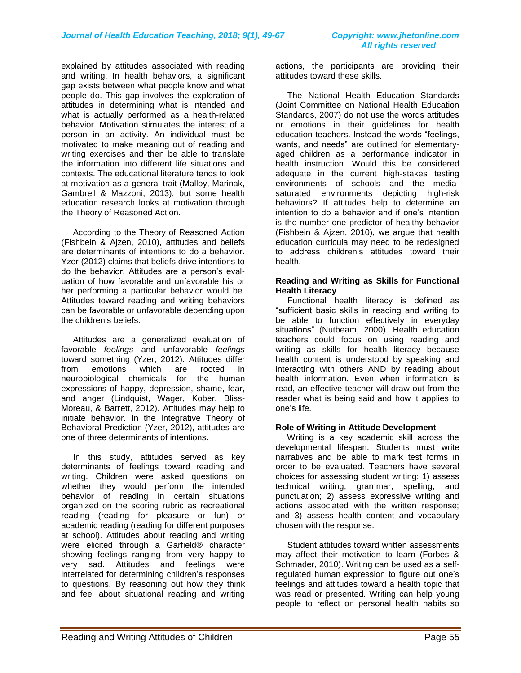explained by attitudes associated with reading and writing. In health behaviors, a significant gap exists between what people know and what people do. This gap involves the exploration of attitudes in determining what is intended and what is actually performed as a health-related behavior. Motivation stimulates the interest of a person in an activity. An individual must be motivated to make meaning out of reading and writing exercises and then be able to translate the information into different life situations and contexts. The educational literature tends to look at motivation as a general trait (Malloy, Marinak, Gambrell & Mazzoni, 2013), but some health education research looks at motivation through the Theory of Reasoned Action.

 According to the Theory of Reasoned Action (Fishbein & Ajzen, 2010), attitudes and beliefs are determinants of intentions to do a behavior. Yzer (2012) claims that beliefs drive intentions to do the behavior. Attitudes are a person's evaluation of how favorable and unfavorable his or her performing a particular behavior would be. Attitudes toward reading and writing behaviors can be favorable or unfavorable depending upon the children's beliefs.

 Attitudes are a generalized evaluation of favorable *feelings* and unfavorable *feelings* toward something (Yzer, 2012). Attitudes differ from emotions which are rooted in neurobiological chemicals for the human expressions of happy, depression, shame, fear, and anger (Lindquist, Wager, Kober, Bliss-Moreau, & Barrett, 2012). Attitudes may help to initiate behavior. In the Integrative Theory of Behavioral Prediction (Yzer, 2012), attitudes are one of three determinants of intentions.

 In this study, attitudes served as key determinants of feelings toward reading and writing. Children were asked questions on whether they would perform the intended behavior of reading in certain situations organized on the scoring rubric as recreational reading (reading for pleasure or fun) or academic reading (reading for different purposes at school). Attitudes about reading and writing were elicited through a Garfield® character showing feelings ranging from very happy to very sad. Attitudes and feelings were interrelated for determining children's responses to questions. By reasoning out how they think and feel about situational reading and writing

actions, the participants are providing their attitudes toward these skills.

 The National Health Education Standards (Joint Committee on National Health Education Standards, 2007) do not use the words attitudes or emotions in their guidelines for health education teachers. Instead the words "feelings, wants, and needs" are outlined for elementaryaged children as a performance indicator in health instruction. Would this be considered adequate in the current high-stakes testing environments of schools and the mediasaturated environments depicting high-risk behaviors? If attitudes help to determine an intention to do a behavior and if one's intention is the number one predictor of healthy behavior (Fishbein & Ajzen, 2010), we argue that health education curricula may need to be redesigned to address children's attitudes toward their health.

#### **Reading and Writing as Skills for Functional Health Literacy**

 Functional health literacy is defined as "sufficient basic skills in reading and writing to be able to function effectively in everyday situations" (Nutbeam, 2000). Health education teachers could focus on using reading and writing as skills for health literacy because health content is understood by speaking and interacting with others AND by reading about health information. Even when information is read, an effective teacher will draw out from the reader what is being said and how it applies to one's life.

#### **Role of Writing in Attitude Development**

 Writing is a key academic skill across the developmental lifespan. Students must write narratives and be able to mark test forms in order to be evaluated. Teachers have several choices for assessing student writing: 1) assess technical writing, grammar, spelling, and punctuation; 2) assess expressive writing and actions associated with the written response; and 3) assess health content and vocabulary chosen with the response.

 Student attitudes toward written assessments may affect their motivation to learn (Forbes & Schmader, 2010). Writing can be used as a selfregulated human expression to figure out one's feelings and attitudes toward a health topic that was read or presented. Writing can help young people to reflect on personal health habits so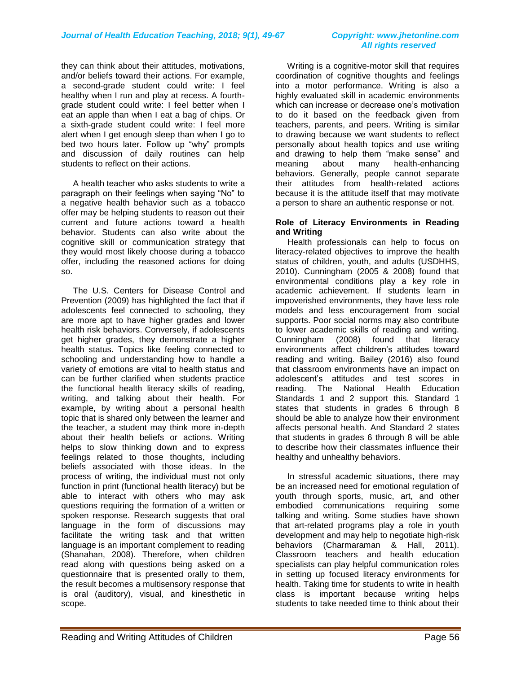they can think about their attitudes, motivations, and/or beliefs toward their actions. For example, a second-grade student could write: I feel healthy when I run and play at recess. A fourthgrade student could write: I feel better when I eat an apple than when I eat a bag of chips. Or a sixth-grade student could write: I feel more alert when I get enough sleep than when I go to bed two hours later. Follow up "why" prompts and discussion of daily routines can help students to reflect on their actions.

 A health teacher who asks students to write a paragraph on their feelings when saying "No" to a negative health behavior such as a tobacco offer may be helping students to reason out their current and future actions toward a health behavior. Students can also write about the cognitive skill or communication strategy that they would most likely choose during a tobacco offer, including the reasoned actions for doing so.

 The U.S. Centers for Disease Control and Prevention (2009) has highlighted the fact that if adolescents feel connected to schooling, they are more apt to have higher grades and lower health risk behaviors. Conversely, if adolescents get higher grades, they demonstrate a higher health status. Topics like feeling connected to schooling and understanding how to handle a variety of emotions are vital to health status and can be further clarified when students practice the functional health literacy skills of reading, writing, and talking about their health. For example, by writing about a personal health topic that is shared only between the learner and the teacher, a student may think more in-depth about their health beliefs or actions. Writing helps to slow thinking down and to express feelings related to those thoughts, including beliefs associated with those ideas. In the process of writing, the individual must not only function in print (functional health literacy) but be able to interact with others who may ask questions requiring the formation of a written or spoken response. Research suggests that oral language in the form of discussions may facilitate the writing task and that written language is an important complement to reading (Shanahan, 2008). Therefore, when children read along with questions being asked on a questionnaire that is presented orally to them, the result becomes a multisensory response that is oral (auditory), visual, and kinesthetic in scope.

 Writing is a cognitive-motor skill that requires coordination of cognitive thoughts and feelings into a motor performance. Writing is also a highly evaluated skill in academic environments which can increase or decrease one's motivation to do it based on the feedback given from teachers, parents, and peers. Writing is similar to drawing because we want students to reflect personally about health topics and use writing and drawing to help them "make sense" and meaning about many health-enhancing behaviors. Generally, people cannot separate their attitudes from health-related actions because it is the attitude itself that may motivate a person to share an authentic response or not.

#### **Role of Literacy Environments in Reading and Writing**

 Health professionals can help to focus on literacy-related objectives to improve the health status of children, youth, and adults (USDHHS, 2010). Cunningham (2005 & 2008) found that environmental conditions play a key role in academic achievement. If students learn in impoverished environments, they have less role models and less encouragement from social supports. Poor social norms may also contribute to lower academic skills of reading and writing. Cunningham (2008) found that literacy environments affect children's attitudes toward reading and writing. Bailey (2016) also found that classroom environments have an impact on adolescent's attitudes and test scores in reading. The National Health Education Standards 1 and 2 support this. Standard 1 states that students in grades 6 through 8 should be able to analyze how their environment affects personal health. And Standard 2 states that students in grades 6 through 8 will be able to describe how their classmates influence their healthy and unhealthy behaviors.

 In stressful academic situations, there may be an increased need for emotional regulation of youth through sports, music, art, and other embodied communications requiring some talking and writing. Some studies have shown that art-related programs play a role in youth development and may help to negotiate high-risk behaviors (Charmaraman & Hall, 2011). Classroom teachers and health education specialists can play helpful communication roles in setting up focused literacy environments for health. Taking time for students to write in health class is important because writing helps students to take needed time to think about their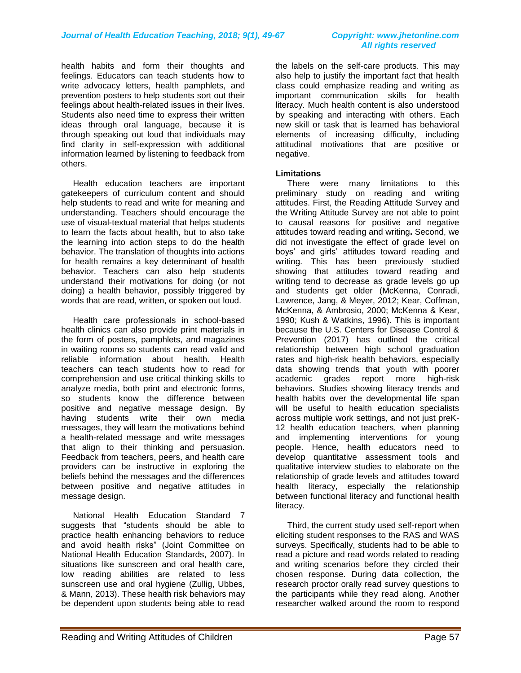health habits and form their thoughts and feelings. Educators can teach students how to write advocacy letters, health pamphlets, and prevention posters to help students sort out their feelings about health-related issues in their lives. Students also need time to express their written ideas through oral language, because it is through speaking out loud that individuals may find clarity in self-expression with additional information learned by listening to feedback from others.

 Health education teachers are important gatekeepers of curriculum content and should help students to read and write for meaning and understanding. Teachers should encourage the use of visual-textual material that helps students to learn the facts about health, but to also take the learning into action steps to do the health behavior. The translation of thoughts into actions for health remains a key determinant of health behavior. Teachers can also help students understand their motivations for doing (or not doing) a health behavior, possibly triggered by words that are read, written, or spoken out loud.

 Health care professionals in school-based health clinics can also provide print materials in the form of posters, pamphlets, and magazines in waiting rooms so students can read valid and reliable information about health. Health teachers can teach students how to read for comprehension and use critical thinking skills to analyze media, both print and electronic forms, so students know the difference between positive and negative message design. By having students write their own media messages, they will learn the motivations behind a health-related message and write messages that align to their thinking and persuasion. Feedback from teachers, peers, and health care providers can be instructive in exploring the beliefs behind the messages and the differences between positive and negative attitudes in message design.

 National Health Education Standard 7 suggests that "students should be able to practice health enhancing behaviors to reduce and avoid health risks" (Joint Committee on National Health Education Standards, 2007). In situations like sunscreen and oral health care, low reading abilities are related to less sunscreen use and oral hygiene (Zullig, Ubbes, & Mann, 2013). These health risk behaviors may be dependent upon students being able to read

the labels on the self-care products. This may also help to justify the important fact that health class could emphasize reading and writing as important communication skills for health literacy. Much health content is also understood by speaking and interacting with others. Each new skill or task that is learned has behavioral elements of increasing difficulty, including attitudinal motivations that are positive or negative.

#### **Limitations**

 There were many limitations to this preliminary study on reading and writing attitudes. First, the Reading Attitude Survey and the Writing Attitude Survey are not able to point to causal reasons for positive and negative attitudes toward reading and writing**.** Second, we did not investigate the effect of grade level on boys' and girls' attitudes toward reading and writing. This has been previously studied showing that attitudes toward reading and writing tend to decrease as grade levels go up and students get older (McKenna, Conradi, Lawrence, Jang, & Meyer, 2012; Kear, Coffman, McKenna, & Ambrosio, 2000; McKenna & Kear, 1990; Kush & Watkins, 1996). This is important because the U.S. Centers for Disease Control & Prevention (2017) has outlined the critical relationship between high school graduation rates and high-risk health behaviors, especially data showing trends that youth with poorer academic grades report more high-risk behaviors. Studies showing literacy trends and health habits over the developmental life span will be useful to health education specialists across multiple work settings, and not just preK-12 health education teachers, when planning and implementing interventions for young people. Hence, health educators need to develop quantitative assessment tools and qualitative interview studies to elaborate on the relationship of grade levels and attitudes toward health literacy, especially the relationship between functional literacy and functional health literacy.

 Third, the current study used self-report when eliciting student responses to the RAS and WAS surveys. Specifically, students had to be able to read a picture and read words related to reading and writing scenarios before they circled their chosen response. During data collection, the research proctor orally read survey questions to the participants while they read along. Another researcher walked around the room to respond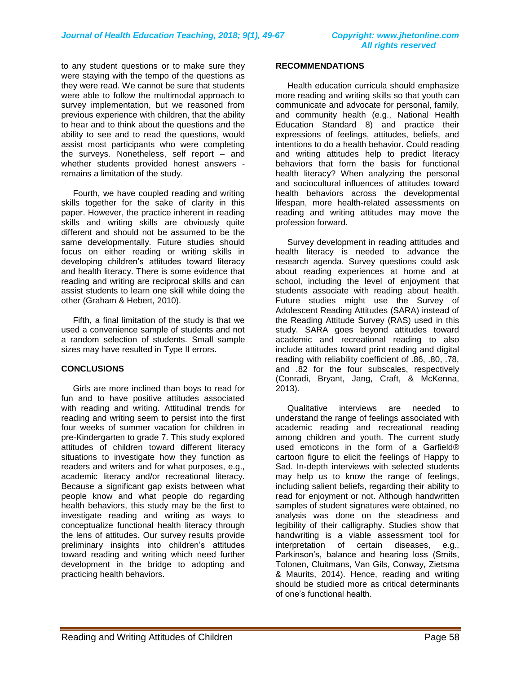to any student questions or to make sure they were staying with the tempo of the questions as they were read. We cannot be sure that students were able to follow the multimodal approach to survey implementation, but we reasoned from previous experience with children, that the ability to hear and to think about the questions and the ability to see and to read the questions, would assist most participants who were completing the surveys. Nonetheless, self report – and whether students provided honest answers remains a limitation of the study.

 Fourth, we have coupled reading and writing skills together for the sake of clarity in this paper. However, the practice inherent in reading skills and writing skills are obviously quite different and should not be assumed to be the same developmentally. Future studies should focus on either reading or writing skills in developing children's attitudes toward literacy and health literacy. There is some evidence that reading and writing are reciprocal skills and can assist students to learn one skill while doing the other (Graham & Hebert, 2010).

 Fifth, a final limitation of the study is that we used a convenience sample of students and not a random selection of students. Small sample sizes may have resulted in Type II errors.

#### **CONCLUSIONS**

 Girls are more inclined than boys to read for fun and to have positive attitudes associated with reading and writing. Attitudinal trends for reading and writing seem to persist into the first four weeks of summer vacation for children in pre-Kindergarten to grade 7. This study explored attitudes of children toward different literacy situations to investigate how they function as readers and writers and for what purposes, e.g., academic literacy and/or recreational literacy. Because a significant gap exists between what people know and what people do regarding health behaviors, this study may be the first to investigate reading and writing as ways to conceptualize functional health literacy through the lens of attitudes. Our survey results provide preliminary insights into children's attitudes toward reading and writing which need further development in the bridge to adopting and practicing health behaviors.

#### **RECOMMENDATIONS**

Health education curricula should emphasize more reading and writing skills so that youth can communicate and advocate for personal, family, and community health (e.g., National Health Education Standard 8) and practice their expressions of feelings, attitudes, beliefs, and intentions to do a health behavior. Could reading and writing attitudes help to predict literacy behaviors that form the basis for functional health literacy? When analyzing the personal and sociocultural influences of attitudes toward health behaviors across the developmental lifespan, more health-related assessments on reading and writing attitudes may move the profession forward.

Survey development in reading attitudes and health literacy is needed to advance the research agenda. Survey questions could ask about reading experiences at home and at school, including the level of enjoyment that students associate with reading about health. Future studies might use the Survey of Adolescent Reading Attitudes (SARA) instead of the Reading Attitude Survey (RAS) used in this study. SARA goes beyond attitudes toward academic and recreational reading to also include attitudes toward print reading and digital reading with reliability coefficient of .86, .80, .78, and .82 for the four subscales, respectively (Conradi, Bryant, Jang, Craft, & McKenna, 2013).

Qualitative interviews are needed to understand the range of feelings associated with academic reading and recreational reading among children and youth. The current study used emoticons in the form of a Garfield® cartoon figure to elicit the feelings of Happy to Sad. In-depth interviews with selected students may help us to know the range of feelings, including salient beliefs, regarding their ability to read for enjoyment or not. Although handwritten samples of student signatures were obtained, no analysis was done on the steadiness and legibility of their calligraphy. Studies show that handwriting is a viable assessment tool for interpretation of certain diseases, e.g., Parkinson's, balance and hearing loss (Smits, Tolonen, Cluitmans, Van Gils, Conway, Zietsma & Maurits, 2014). Hence, reading and writing should be studied more as critical determinants of one's functional health.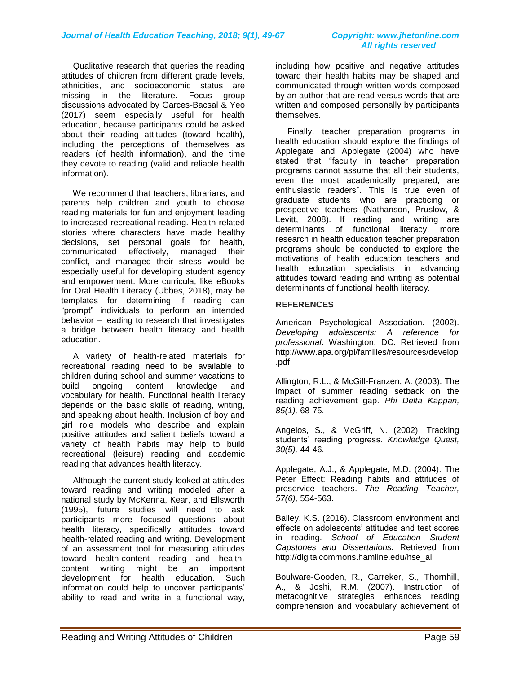#### Qualitative research that queries the reading attitudes of children from different grade levels, ethnicities, and socioeconomic status are missing in the literature. Focus group discussions advocated by Garces-Bacsal & Yeo (2017) seem especially useful for health education, because participants could be asked about their reading attitudes (toward health), including the perceptions of themselves as readers (of health information), and the time they devote to reading (valid and reliable health information).

 We recommend that teachers, librarians, and parents help children and youth to choose reading materials for fun and enjoyment leading to increased recreational reading. Health-related stories where characters have made healthy decisions, set personal goals for health, communicated effectively, managed their conflict, and managed their stress would be especially useful for developing student agency and empowerment. More curricula, like eBooks for Oral Health Literacy (Ubbes, 2018), may be templates for determining if reading can "prompt" individuals to perform an intended behavior – leading to research that investigates a bridge between health literacy and health education.

 A variety of health-related materials for recreational reading need to be available to children during school and summer vacations to build ongoing content knowledge and vocabulary for health. Functional health literacy depends on the basic skills of reading, writing, and speaking about health. Inclusion of boy and girl role models who describe and explain positive attitudes and salient beliefs toward a variety of health habits may help to build recreational (leisure) reading and academic reading that advances health literacy.

 Although the current study looked at attitudes toward reading and writing modeled after a national study by McKenna, Kear, and Ellsworth (1995), future studies will need to ask participants more focused questions about health literacy, specifically attitudes toward health-related reading and writing. Development of an assessment tool for measuring attitudes toward health-content reading and healthcontent writing might be an important development for health education. Such information could help to uncover participants' ability to read and write in a functional way,

# *All rights reserved*

including how positive and negative attitudes toward their health habits may be shaped and communicated through written words composed by an author that are read versus words that are written and composed personally by participants themselves.

 Finally, teacher preparation programs in health education should explore the findings of Applegate and Applegate (2004) who have stated that "faculty in teacher preparation programs cannot assume that all their students, even the most academically prepared, are enthusiastic readers". This is true even of graduate students who are practicing or prospective teachers (Nathanson, Pruslow, & Levitt, 2008). If reading and writing are determinants of functional literacy, more research in health education teacher preparation programs should be conducted to explore the motivations of health education teachers and health education specialists in advancing attitudes toward reading and writing as potential determinants of functional health literacy.

#### **REFERENCES**

American Psychological Association. (2002). *Developing adolescents: A reference for professional*. Washington, DC. Retrieved from http://www.apa.org/pi/families/resources/develop .pdf

Allington, R.L., & McGill-Franzen, A. (2003). The impact of summer reading setback on the reading achievement gap. *Phi Delta Kappan, 85(1),* 68-75.

Angelos, S., & McGriff, N. (2002). Tracking students' reading progress. *Knowledge Quest, 30(5),* 44-46.

Applegate, A.J., & Applegate, M.D. (2004). The Peter Effect: Reading habits and attitudes of preservice teachers. *The Reading Teacher, 57(6),* 554-563.

Bailey, K.S. (2016). Classroom environment and effects on adolescents' attitudes and test scores in reading. *School of Education Student Capstones and Dissertations.* Retrieved from http://digitalcommons.hamline.edu/hse\_all

Boulware-Gooden, R., Carreker, S., Thornhill, A., & Joshi, R.M. (2007). Instruction of metacognitive strategies enhances reading comprehension and vocabulary achievement of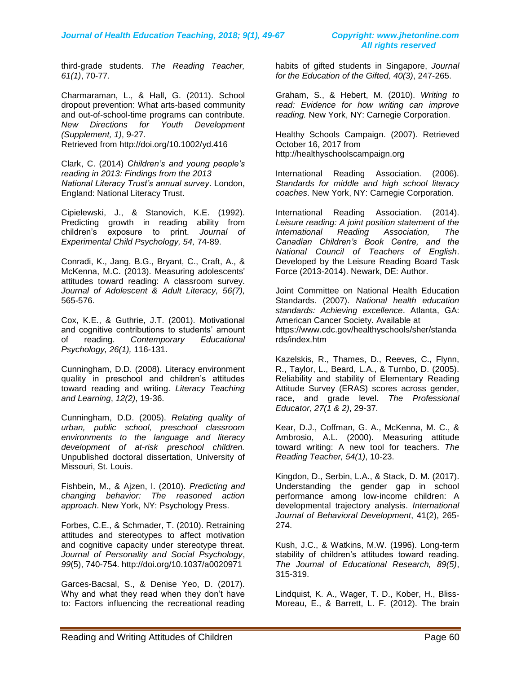third-grade students. *The Reading Teacher, 61(1)*, 70-77.

Charmaraman, L., & Hall, G. (2011). School dropout prevention: What arts-based community and out-of-school-time programs can contribute. *New Directions for Youth Development (Supplement, 1)*, 9-27.

Retrieved from<http://doi.org/10.1002/yd.416>

Clark, C. (2014) *Children's and young people's reading in 2013: Findings from the 2013 National Literacy Trust's annual survey*. London, England: National Literacy Trust.

Cipielewski, J., & Stanovich, K.E. (1992). Predicting growth in reading ability from children's exposure to print. *Journal of Experimental Child Psychology, 54,* 74-89.

Conradi, K., Jang, B.G., Bryant, C., Craft, A., & McKenna, M.C. (2013). Measuring adolescents' attitudes toward reading: A classroom survey. *Journal of Adolescent & Adult Literacy, 56(7),*  565-576.

Cox, K.E., & Guthrie, J.T. (2001). Motivational and cognitive contributions to students' amount of reading. *Contemporary Educational Psychology, 26(1),* 116-131.

Cunningham, D.D. (2008). Literacy environment quality in preschool and children's attitudes toward reading and writing. *Literacy Teaching and Learning*, *12(2)*, 19-36.

Cunningham, D.D. (2005). *Relating quality of urban, public school, preschool classroom environments to the language and literacy development of at-risk preschool children.*  Unpublished doctoral dissertation, University of Missouri, St. Louis.

Fishbein, M., & Ajzen, I. (2010). *Predicting and changing behavior: The reasoned action approach*. New York, NY: Psychology Press.

Forbes, C.E., & Schmader, T. (2010). Retraining attitudes and stereotypes to affect motivation and cognitive capacity under stereotype threat. *Journal of Personality and Social Psychology*, *99*(5), 740-754.<http://doi.org/10.1037/a0020971>

Garces-Bacsal, S., & Denise Yeo, D. (2017). Why and what they read when they don't have to: Factors influencing the recreational reading habits of gifted students in Singapore, *Journal for the Education of the Gifted, 40(3)*, 247-265.

Graham, S., & Hebert, M. (2010). *Writing to read: Evidence for how writing can improve reading.* New York, NY: Carnegie Corporation.

Healthy Schools Campaign. (2007). Retrieved October 16, 2017 from [http://healthyschoolscampaign.org](http://healthyschoolscampaign.org/)

International Reading Association. (2006). *Standards for middle and high school literacy coaches*. New York, NY: Carnegie Corporation.

International Reading Association. (2014). *Leisure reading: A joint position statement of the International Reading Association, The Canadian Children's Book Centre, and the National Council of Teachers of English*. Developed by the Leisure Reading Board Task Force (2013-2014). Newark, DE: Author.

Joint Committee on National Health Education Standards. (2007). *National health education standards: Achieving excellence*. Atlanta, GA: American Cancer Society. Available at [https://www.cdc.gov/healthyschools/sher/standa](https://www.cdc.gov/healthyschools/sher/standards/index.htm) [rds/index.htm](https://www.cdc.gov/healthyschools/sher/standards/index.htm)

Kazelskis, R., Thames, D., Reeves, C., Flynn, R., Taylor, L., Beard, L.A., & Turnbo, D. (2005). Reliability and stability of Elementary Reading Attitude Survey (ERAS) scores across gender, race, and grade level. *The Professional Educator*, *27(1 & 2)*, 29-37.

Kear, D.J., Coffman, G. A., McKenna, M. C., & Ambrosio, A.L. (2000). Measuring attitude toward writing: A new tool for teachers. *The Reading Teacher, 54(1)*, 10-23.

Kingdon, D., Serbin, L.A., & Stack, D. M. (2017). Understanding the gender gap in school performance among low-income children: A developmental trajectory analysis. *International Journal of Behavioral Development*, 41(2), 265- 274.

Kush, J.C., & Watkins, M.W. (1996). Long-term stability of children's attitudes toward reading. *The Journal of Educational Research, 89(5)*, 315-319.

Lindquist, K. A., Wager, T. D., Kober, H., Bliss-Moreau, E., & Barrett, L. F. (2012). The brain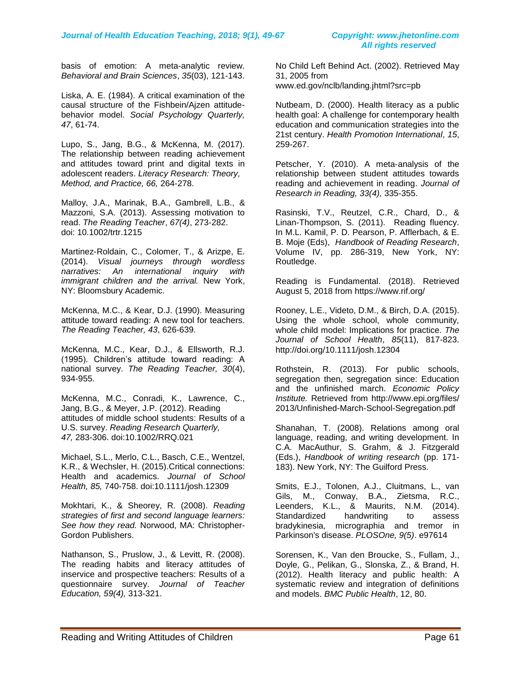basis of emotion: A meta-analytic review. *Behavioral and Brain Sciences*, *35*(03), 121-143.

Liska, A. E. (1984). A critical examination of the causal structure of the Fishbein/Ajzen attitudebehavior model. *Social Psychology Quarterly, 47*, 61-74.

Lupo, S., Jang, B.G., & McKenna, M. (2017). The relationship between reading achievement and attitudes toward print and digital texts in adolescent readers. *Literacy Research: Theory, Method, and Practice, 66,* 264-278.

Malloy, J.A., Marinak, B.A., Gambrell, L.B., & Mazzoni, S.A. (2013). Assessing motivation to read. *The Reading Teacher*, *67(4)*, 273-282. doi: 10.1002/trtr.1215

Martinez-Roldain, C., Colomer, T., & Arizpe, E. (2014). *Visual journeys through wordless narratives: An international inquiry with immigrant children and the arrival.* New York, NY: Bloomsbury Academic.

McKenna, M.C., & Kear, D.J. (1990). Measuring attitude toward reading: A new tool for teachers. *The Reading Teacher, 43*, 626-639.

McKenna, M.C., Kear, D.J., & Ellsworth, R.J. (1995). Children's attitude toward reading: A national survey. *The Reading Teacher, 30*(4), 934-955.

McKenna, M.C., Conradi, K., Lawrence, C., Jang, B.G., & Meyer, J.P. (2012). Reading attitudes of middle school students: Results of a U.S. survey. *Reading Research Quarterly, 47,* 283-306. doi:10.1002/RRQ.021

Michael, S.L., Merlo, C.L., Basch, C.E., Wentzel, K.R., & Wechsler, H. (2015).Critical connections: Health and academics. *Journal of School Health, 85,* 740-758. doi:10.1111/josh.12309

Mokhtari, K., & Sheorey, R. (2008). *Reading strategies of first and second language learners: See how they read.* Norwood, MA: Christopher-Gordon Publishers.

Nathanson, S., Pruslow, J., & Levitt, R. (2008). The reading habits and literacy attitudes of inservice and prospective teachers: Results of a questionnaire survey. *Journal of Teacher Education, 59(4),* 313-321.

No Child Left Behind Act. (2002). Retrieved May 31, 2005 from www.ed.gov/nclb/landing.jhtml?src=pb

Nutbeam, D. (2000). Health literacy as a public health goal: A challenge for contemporary health education and communication strategies into the 21st century. *Health Promotion International*, *15*, 259-267.

Petscher, Y. (2010). A meta‐analysis of the relationship between student attitudes towards reading and achievement in reading. *Journal of Research in Reading, 33(4),* 335-355.

Rasinski, T.V., Reutzel, C.R., Chard, D., & Linan-Thompson, S. (2011). Reading fluency. In M.L. Kamil, P. D. Pearson, P. Afflerbach, & E. B. Moje (Eds), *Handbook of Reading Research*, Volume IV, pp. 286-319, New York, NY: Routledge.

Reading is Fundamental. (2018). Retrieved August 5, 2018 from<https://www.rif.org/>

Rooney, L.E., Videto, D.M., & Birch, D.A. (2015). Using the whole school, whole community, whole child model: Implications for practice. *The Journal of School Health*, *85*(11), 817-823. <http://doi.org/10.1111/josh.12304>

Rothstein, R. (2013). For public schools, segregation then, segregation since: Education and the unfinished march. *Economic Policy Institute.* Retrieved from http://www.epi.org/files/ 2013/Unfinished-March-School-Segregation.pdf

Shanahan, T. (2008). Relations among oral language, reading, and writing development. In C.A. MacAuthur, S. Grahm, & J. Fitzgerald (Eds.), *Handbook of writing research* (pp. 171- 183). New York, NY: The Guilford Press.

Smits, E.J., Tolonen, A.J., Cluitmans, L., van Gils, M., Conway, B.A., Zietsma, R.C., Leenders, K.L., & Maurits, N.M. (2014). Standardized handwriting to assess bradykinesia, micrographia and tremor in Parkinson's disease. *PLOSOne, 9(5)*. e97614

Sorensen, K., Van den Broucke, S., Fullam, J., Doyle, G., Pelikan, G., Slonska, Z., & Brand, H. (2012). Health literacy and public health: A systematic review and integration of definitions and models. *BMC Public Health*, 12, 80.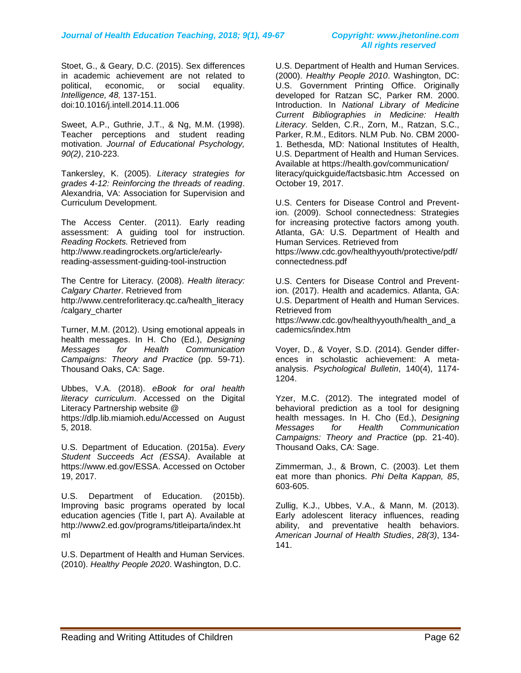Stoet, G., & Geary, D.C. (2015). Sex differences in academic achievement are not related to political, economic, or social equality. *Intelligence, 48,* 137-151. doi:10.1016/j.intell.2014.11.006

Sweet, A.P., Guthrie, J.T., & Ng, M.M. (1998). Teacher perceptions and student reading motivation. *Journal of Educational Psychology, 90(2)*, 210-223.

Tankersley, K. (2005). *Literacy strategies for grades 4-12: Reinforcing the threads of reading*. Alexandria, VA: Association for Supervision and Curriculum Development.

The Access Center. (2011). Early reading assessment: A guiding tool for instruction. *Reading Rockets.* Retrieved from [http://www.readingrockets.org/article/early](http://www.readingrockets.org/article/early-reading-assessment-guiding-tool-instruction)[reading-assessment-guiding-tool-instruction](http://www.readingrockets.org/article/early-reading-assessment-guiding-tool-instruction)

The Centre for Literacy. (2008). *Health literacy: Calgary Charter*. Retrieved from [http://www.centreforliteracy.qc.ca/health\\_literacy](http://www.centreforliteracy.qc.ca/health_literacy/calgary_charter) [/calgary\\_charter](http://www.centreforliteracy.qc.ca/health_literacy/calgary_charter)

Turner, M.M. (2012). Using emotional appeals in health messages. In H. Cho (Ed.), *Designing Messages for Health Communication Campaigns: Theory and Practice* (pp. 59-71). Thousand Oaks, CA: Sage.

Ubbes, V.A. (2018). *eBook for oral health literacy curriculum*. Accessed on the Digital Literacy Partnership website @ [https://dlp.lib.miamioh.edu/A](https://dlp.lib.miamioh.edu/)ccessed on August 5, 2018.

U.S. Department of Education. (2015a). *Every Student Succeeds Act (ESSA)*. Available at [https://www.ed.gov/ESSA.](https://www.ed.gov/ESSA) Accessed on October 19, 2017.

U.S. Department of Education. (2015b). Improving basic programs operated by local education agencies (Title I, part A). Available at [http://www2.ed.gov/programs/titleiparta/index.ht](http://www2.ed.gov/programs/titleiparta/index.html) [ml](http://www2.ed.gov/programs/titleiparta/index.html)

U.S. Department of Health and Human Services. (2010). *Healthy People 2020*. Washington, D.C.

U.S. Department of Health and Human Services. (2000). *Healthy People 2010*. Washington, DC: U.S. Government Printing Office. Originally developed for Ratzan SC, Parker RM. 2000. Introduction. In *National Library of Medicine Current Bibliographies in Medicine: Health Literacy*. Selden, C.R., Zorn, M., Ratzan, S.C., Parker, R.M., Editors. NLM Pub. No. CBM 2000- 1. Bethesda, MD: National Institutes of Health, U.S. Department of Health and Human Services. Available at https://health.gov/communication/ literacy/quickguide/factsbasic.htm Accessed on October 19, 2017.

U.S. Centers for Disease Control and Prevention. (2009). School connectedness: Strategies for increasing protective factors among youth. Atlanta, GA: U.S. Department of Health and Human Services. Retrieved from [https://www.cdc.gov/healthyyouth/protective/pdf/](https://www.cdc.gov/healthyyouth/protective/pdf/connectedness.pdf) [connectedness.pdf](https://www.cdc.gov/healthyyouth/protective/pdf/connectedness.pdf)

U.S. Centers for Disease Control and Prevention. (2017). Health and academics. Atlanta, GA: U.S. Department of Health and Human Services. Retrieved from [https://www.cdc.gov/healthyyouth/health\\_and\\_a](https://www.cdc.gov/healthyyouth/health_and_academics/index.htm) [cademics/index.htm](https://www.cdc.gov/healthyyouth/health_and_academics/index.htm)

Voyer, D., & Voyer, S.D. (2014). Gender differences in scholastic achievement: A metaanalysis. *Psychological Bulletin*, 140(4), 1174- 1204.

Yzer, M.C. (2012). The integrated model of behavioral prediction as a tool for designing health messages. In H. Cho (Ed.), *Designing Messages for Health Communication Campaigns: Theory and Practice* (pp. 21-40). Thousand Oaks, CA: Sage.

Zimmerman, J., & Brown, C. (2003). Let them eat more than phonics. *Phi Delta Kappan, 85*, 603-605.

Zullig, K.J., Ubbes, V.A., & Mann, M. (2013). Early adolescent literacy influences, reading ability, and preventative health behaviors. *American Journal of Health Studies*, *28(3)*, 134- 141.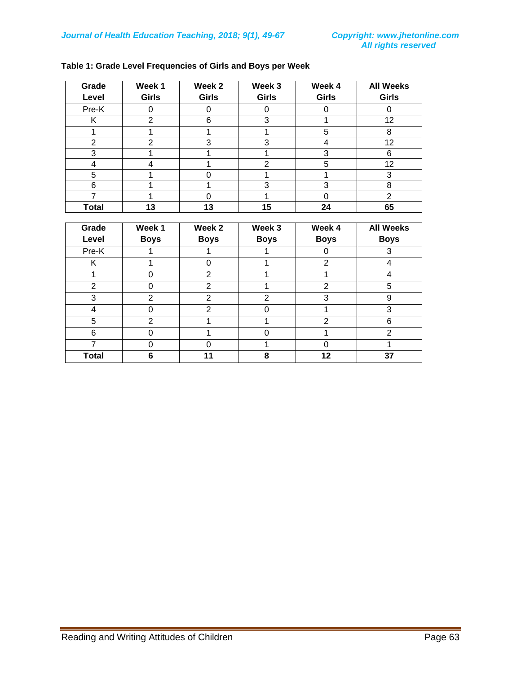| Grade        | Week 1       | Week 2       | Week 3       | Week 4       | <b>All Weeks</b> |
|--------------|--------------|--------------|--------------|--------------|------------------|
| Level        | <b>Girls</b> | <b>Girls</b> | <b>Girls</b> | <b>Girls</b> | <b>Girls</b>     |
| Pre-K        |              | U            |              |              |                  |
| Κ            | 2            | 6            | 3            |              | 12               |
|              |              |              |              | 5            | 8                |
| 2            | 2            | 3            | 3            |              | 12               |
| 3            |              |              |              | 3            | 6                |
|              |              |              | 2            | 5            | 12               |
| 5            |              |              |              |              |                  |
| 6            |              |              | 3            | 3            | 8                |
|              |              | 0            |              |              | 2                |
| <b>Total</b> | 13           | 13           | 15           | 24           | 65               |

### **Table 1: Grade Level Frequencies of Girls and Boys per Week**

| Grade<br>Level | Week 1<br><b>Boys</b> | Week 2<br><b>Boys</b> | Week 3<br><b>Boys</b> | Week 4<br><b>Boys</b> | <b>All Weeks</b><br><b>Boys</b> |
|----------------|-----------------------|-----------------------|-----------------------|-----------------------|---------------------------------|
| Pre-K          |                       |                       |                       |                       | 3                               |
| Κ              |                       | U                     |                       | 2                     |                                 |
|                | Ω                     | 2                     |                       |                       | 4                               |
| 2              | ი                     | 2                     |                       | $\mathfrak{p}$        | 5                               |
| 3              | 2                     | $\overline{2}$        | $\overline{2}$        | 3                     | 9                               |
| 4              | ი                     | $\overline{2}$        | ი                     |                       | 3                               |
| 5              | $\overline{2}$        |                       |                       | $\mathcal{P}$         | 6                               |
| 6              | Ω                     |                       | ∩                     |                       | $\overline{2}$                  |
|                | 0                     |                       |                       |                       |                                 |
| <b>Total</b>   | 6                     | 11                    | 8                     | 12                    | 37                              |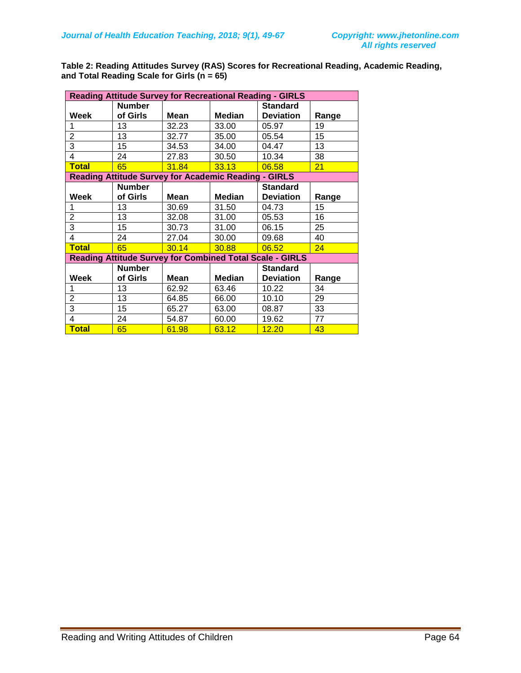**Table 2: Reading Attitudes Survey (RAS) Scores for Recreational Reading, Academic Reading, and Total Reading Scale for Girls (n = 65)**

| <b>Reading Attitude Survey for Recreational Reading - GIRLS</b> |                                                             |       |               |                                     |       |  |
|-----------------------------------------------------------------|-------------------------------------------------------------|-------|---------------|-------------------------------------|-------|--|
| Week                                                            | <b>Number</b><br>of Girls                                   | Mean  | <b>Median</b> | <b>Standard</b><br><b>Deviation</b> | Range |  |
| 1                                                               | 13                                                          | 32.23 | 33.00         | 05.97                               | 19    |  |
| $\overline{c}$                                                  | 13                                                          | 32.77 | 35.00         | 05.54                               | 15    |  |
| 3                                                               | 15                                                          | 34.53 | 34.00         | 04.47                               | 13    |  |
| 4                                                               | 24                                                          | 27.83 | 30.50         | 10.34                               | 38    |  |
| <b>Total</b>                                                    | 65                                                          | 31.84 | 33.13         | 06.58                               | 21    |  |
|                                                                 | <b>Reading Attitude Survey for Academic Reading - GIRLS</b> |       |               |                                     |       |  |
|                                                                 | <b>Number</b>                                               |       |               | <b>Standard</b>                     |       |  |
| Week                                                            | of Girls                                                    | Mean  | <b>Median</b> | <b>Deviation</b>                    | Range |  |
|                                                                 | 13                                                          | 30.69 | 31.50         | 04.73                               | 15    |  |
| 2                                                               | 13                                                          | 32.08 | 31.00         | 05.53                               | 16    |  |
| 3                                                               | 15                                                          | 30.73 | 31.00         | 06.15                               | 25    |  |
| 4                                                               | 24                                                          | 27.04 | 30.00         | 09.68                               | 40    |  |
| <b>Total</b>                                                    | 65                                                          | 30.14 | 30.88         | 06.52                               | 24    |  |
| <b>Reading Attitude Survey for Combined Total Scale - GIRLS</b> |                                                             |       |               |                                     |       |  |
|                                                                 | <b>Number</b>                                               |       |               | <b>Standard</b>                     |       |  |
| Week                                                            | of Girls                                                    | Mean  | <b>Median</b> | <b>Deviation</b>                    | Range |  |
| 1                                                               | 13                                                          | 62.92 | 63.46         | 10.22                               | 34    |  |
| $\overline{2}$                                                  | 13                                                          | 64.85 | 66.00         | 10.10                               | 29    |  |
| 3                                                               | 15                                                          | 65.27 | 63.00         | 08.87                               | 33    |  |
| $\overline{\mathbf{4}}$                                         | 24                                                          | 54.87 | 60.00         | 19.62                               | 77    |  |
| <b>Total</b>                                                    | 65                                                          | 61.98 | 63.12         | 12.20                               | 43    |  |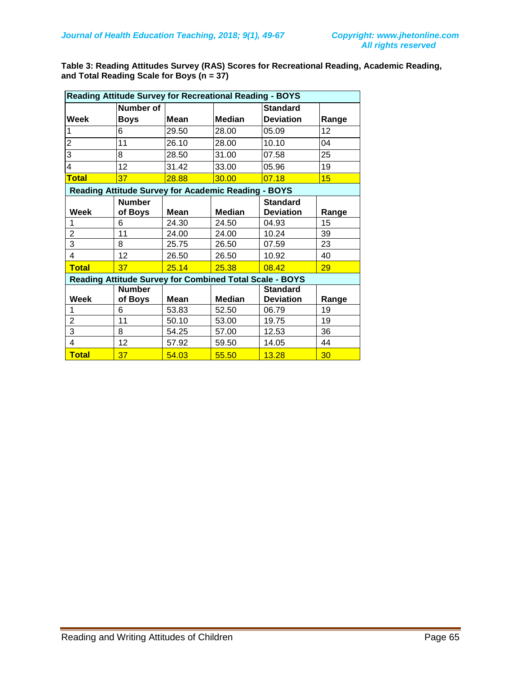**Table 3: Reading Attitudes Survey (RAS) Scores for Recreational Reading, Academic Reading, and Total Reading Scale for Boys (n = 37)**

| <b>Reading Attitude Survey for Recreational Reading - BOYS</b> |                                                            |       |               |                  |       |  |  |
|----------------------------------------------------------------|------------------------------------------------------------|-------|---------------|------------------|-------|--|--|
|                                                                | Number of                                                  |       |               | <b>Standard</b>  |       |  |  |
| Week                                                           | Boys                                                       | Mean  | <b>Median</b> | <b>Deviation</b> | Range |  |  |
| 1                                                              | 6                                                          | 29.50 | 28.00         | 05.09            | 12    |  |  |
| $\overline{2}$                                                 | 11                                                         | 26.10 | 28.00         | 10.10            | 04    |  |  |
| 3                                                              | 8                                                          | 28.50 | 31.00         | 07.58            | 25    |  |  |
| 4                                                              | 12                                                         | 31.42 | 33.00         | 05.96            | 19    |  |  |
| <b>Total</b>                                                   | 37                                                         | 28.88 | 30.00         | 07.18            | 15    |  |  |
|                                                                | <b>Reading Attitude Survey for Academic Reading - BOYS</b> |       |               |                  |       |  |  |
|                                                                | <b>Number</b>                                              |       |               | <b>Standard</b>  |       |  |  |
| Week                                                           | of Boys                                                    | Mean  | <b>Median</b> | <b>Deviation</b> | Range |  |  |
| 1                                                              | 6                                                          | 24.30 | 24.50         | 04.93            | 15    |  |  |
| 2                                                              | 11                                                         | 24.00 | 24.00         | 10.24            | 39    |  |  |
| $\overline{3}$                                                 | 8                                                          | 25.75 | 26.50         | 07.59            | 23    |  |  |
| 4                                                              | 12 <sup>2</sup>                                            | 26.50 | 26.50         | 10.92            | 40    |  |  |
| <b>Total</b>                                                   | 37                                                         | 25.14 | 25.38         | 08.42            | 29    |  |  |
| <b>Reading Attitude Survey for Combined Total Scale - BOYS</b> |                                                            |       |               |                  |       |  |  |
|                                                                | <b>Number</b>                                              |       |               | <b>Standard</b>  |       |  |  |
| Week                                                           | of Boys                                                    | Mean  | <b>Median</b> | <b>Deviation</b> | Range |  |  |
| 1                                                              | 6                                                          | 53.83 | 52.50         | 06.79            | 19    |  |  |
| $\overline{2}$                                                 | 11                                                         | 50.10 | 53.00         | 19.75            | 19    |  |  |
| 3                                                              | 8                                                          | 54.25 | 57.00         | 12.53            | 36    |  |  |
| 4                                                              | 12                                                         | 57.92 | 59.50         | 14.05            | 44    |  |  |
| <b>Total</b>                                                   | 37                                                         | 54.03 | 55.50         | 13.28            | 30    |  |  |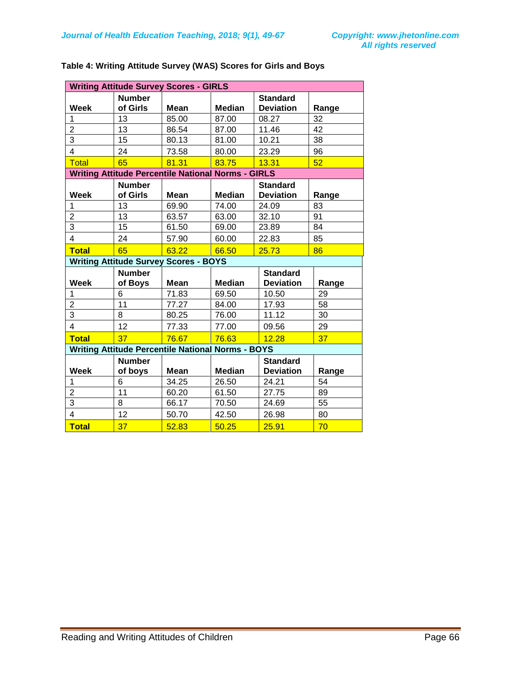| <b>Writing Attitude Survey Scores - GIRLS</b>            |                                                           |             |               |                                     |       |
|----------------------------------------------------------|-----------------------------------------------------------|-------------|---------------|-------------------------------------|-------|
| <b>Week</b>                                              | <b>Number</b><br>of Girls                                 | Mean        | <b>Median</b> | <b>Standard</b><br><b>Deviation</b> | Range |
| 1                                                        | 13                                                        | 85.00       | 87.00         | 08.27                               | 32    |
| $\overline{c}$                                           | 13                                                        | 86.54       | 87.00         | 11.46                               | 42    |
| $\overline{3}$                                           | 15                                                        | 80.13       | 81.00         | 10.21                               | 38    |
| $\overline{4}$                                           | 24                                                        | 73.58       | 80.00         | 23.29                               | 96    |
| <b>Total</b>                                             | 65                                                        | 81.31       | 83.75         | 13.31                               | 52    |
|                                                          | <b>Writing Attitude Percentile National Norms - GIRLS</b> |             |               |                                     |       |
| <b>Week</b>                                              | <b>Number</b><br>of Girls                                 | <b>Mean</b> | <b>Median</b> | <b>Standard</b><br><b>Deviation</b> | Range |
| 1                                                        | 13                                                        | 69.90       | 74.00         | 24.09                               | 83    |
| $\overline{c}$                                           | 13                                                        | 63.57       | 63.00         | 32.10                               | 91    |
| $\overline{3}$                                           | 15                                                        | 61.50       | 69.00         | 23.89                               | 84    |
| $\overline{4}$                                           | 24                                                        | 57.90       | 60.00         | 22.83                               | 85    |
| <b>Total</b>                                             | 65                                                        | 63.22       | 66.50         | 25.73                               | 86    |
|                                                          | <b>Writing Attitude Survey Scores - BOYS</b>              |             |               |                                     |       |
| Week                                                     | <b>Number</b><br>of Boys                                  | <b>Mean</b> | <b>Median</b> | <b>Standard</b><br><b>Deviation</b> | Range |
| 1                                                        | 6                                                         | 71.83       | 69.50         | 10.50                               | 29    |
| $\overline{2}$                                           | 11                                                        | 77.27       | 84.00         | 17.93                               | 58    |
| 3                                                        | 8                                                         | 80.25       | 76.00         | 11.12                               | 30    |
| $\overline{\mathbf{4}}$                                  | 12                                                        | 77.33       | 77.00         | 09.56                               | 29    |
| <b>Total</b>                                             | 37                                                        | 76.67       | 76.63         | 12.28                               | 37    |
| <b>Writing Attitude Percentile National Norms - BOYS</b> |                                                           |             |               |                                     |       |
| <b>Week</b>                                              | <b>Number</b><br>of boys                                  | <b>Mean</b> | <b>Median</b> | <b>Standard</b><br><b>Deviation</b> | Range |
| $\mathbf 1$                                              | 6                                                         | 34.25       | 26.50         | 24.21                               | 54    |
| $\overline{c}$                                           | 11                                                        | 60.20       | 61.50         | 27.75                               | 89    |
| $\overline{3}$                                           | 8                                                         | 66.17       | 70.50         | 24.69                               | 55    |
| $\overline{\mathbf{4}}$                                  | 12                                                        | 50.70       | 42.50         | 26.98                               | 80    |
| <b>Total</b>                                             | 37                                                        | 52.83       | 50.25         | 25.91                               | 70    |

### **Table 4: Writing Attitude Survey (WAS) Scores for Girls and Boys**